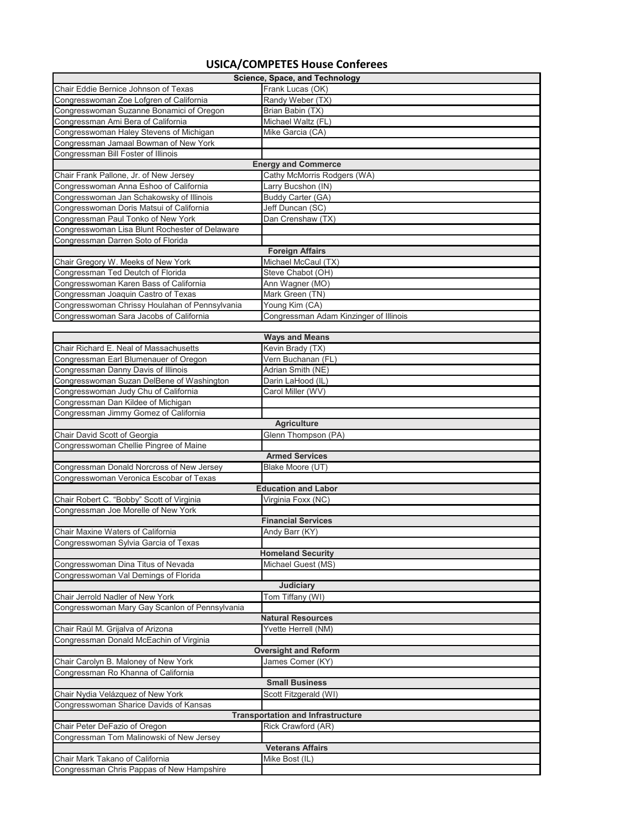| <b>Science, Space, and Technology</b>                                               |                                          |  |
|-------------------------------------------------------------------------------------|------------------------------------------|--|
| <b>Chair Eddie Bernice Johnson of Texas</b>                                         | Frank Lucas (OK)                         |  |
| Congresswoman Zoe Lofgren of California                                             | Randy Weber (TX)                         |  |
| Congresswoman Suzanne Bonamici of Oregon                                            | Brian Babin (TX)                         |  |
| Congressman Ami Bera of California                                                  | Michael Waltz (FL)                       |  |
| Congresswoman Haley Stevens of Michigan                                             | Mike Garcia (CA)                         |  |
| Congressman Jamaal Bowman of New York                                               |                                          |  |
| Congressman Bill Foster of Illinois                                                 |                                          |  |
| <b>Energy and Commerce</b>                                                          |                                          |  |
| Chair Frank Pallone, Jr. of New Jersey                                              | Cathy McMorris Rodgers (WA)              |  |
| Congresswoman Anna Eshoo of California                                              | Larry Bucshon (IN)                       |  |
| Congresswoman Jan Schakowsky of Illinois                                            | <b>Buddy Carter (GA)</b>                 |  |
| Congresswoman Doris Matsui of California                                            | Jeff Duncan (SC)                         |  |
| Congressman Paul Tonko of New York                                                  | Dan Crenshaw (TX)                        |  |
| Congresswoman Lisa Blunt Rochester of Delaware                                      |                                          |  |
| Congressman Darren Soto of Florida                                                  |                                          |  |
|                                                                                     | <b>Foreign Affairs</b>                   |  |
| Chair Gregory W. Meeks of New York                                                  | Michael McCaul (TX)                      |  |
| Congressman Ted Deutch of Florida                                                   | Steve Chabot (OH)                        |  |
| Congresswoman Karen Bass of California                                              | Ann Wagner (MO)                          |  |
| Congressman Joaquin Castro of Texas                                                 | Mark Green (TN)                          |  |
| Congresswoman Chrissy Houlahan of Pennsylvania                                      | Young Kim (CA)                           |  |
| Congresswoman Sara Jacobs of California                                             | Congressman Adam Kinzinger of Illinois   |  |
|                                                                                     |                                          |  |
| Chair Richard E. Neal of Massachusetts                                              | <b>Ways and Means</b>                    |  |
|                                                                                     | Kevin Brady (TX)<br>Vern Buchanan (FL)   |  |
| Congressman Earl Blumenauer of Oregon<br><b>Congressman Danny Davis of Illinois</b> | Adrian Smith (NE)                        |  |
| Congresswoman Suzan DelBene of Washington                                           | Darin LaHood (IL)                        |  |
| Congresswoman Judy Chu of California                                                | Carol Miller (WV)                        |  |
| Congressman Dan Kildee of Michigan                                                  |                                          |  |
| Congressman Jimmy Gomez of California                                               |                                          |  |
|                                                                                     | <b>Agriculture</b>                       |  |
| <b>Chair David Scott of Georgia</b>                                                 | Glenn Thompson (PA)                      |  |
| Congresswoman Chellie Pingree of Maine                                              |                                          |  |
|                                                                                     | <b>Armed Services</b>                    |  |
| Congressman Donald Norcross of New Jersey                                           | Blake Moore (UT)                         |  |
| Congresswoman Veronica Escobar of Texas                                             |                                          |  |
| <b>Education and Labor</b>                                                          |                                          |  |
| Chair Robert C. "Bobby" Scott of Virginia                                           | Virginia Foxx (NC)                       |  |
| Congressman Joe Morelle of New York                                                 |                                          |  |
|                                                                                     | <b>Financial Services</b>                |  |
| <b>Chair Maxine Waters of California</b>                                            | Andy Barr (KY)                           |  |
| Congresswoman Sylvia Garcia of Texas                                                |                                          |  |
|                                                                                     | <b>Homeland Security</b>                 |  |
| Congresswoman Dina Titus of Nevada                                                  | Michael Guest (MS)                       |  |
| Congresswoman Val Demings of Florida                                                |                                          |  |
|                                                                                     | <b>Judiciary</b>                         |  |
| <b>Chair Jerrold Nadler of New York</b>                                             | Tom Tiffany (WI)                         |  |
| Congresswoman Mary Gay Scanlon of Pennsylvania                                      |                                          |  |
|                                                                                     | <b>Natural Resources</b>                 |  |
| Chair Raúl M. Grijalva of Arizona                                                   | Yvette Herrell (NM)                      |  |
| Congressman Donald McEachin of Virginia                                             |                                          |  |
|                                                                                     | <b>Oversight and Reform</b>              |  |
| Chair Carolyn B. Maloney of New York                                                | James Comer (KY)                         |  |
| Congressman Ro Khanna of California                                                 |                                          |  |
|                                                                                     | <b>Small Business</b>                    |  |
| Chair Nydia Velázquez of New York                                                   | Scott Fitzgerald (WI)                    |  |
| Congresswoman Sharice Davids of Kansas                                              |                                          |  |
|                                                                                     | <b>Transportation and Infrastructure</b> |  |
| Chair Peter DeFazio of Oregon                                                       | Rick Crawford (AR)                       |  |
| Congressman Tom Malinowski of New Jersey                                            | <b>Veterans Affairs</b>                  |  |
| Chair Mark Takano of California                                                     | Mike Bost (IL)                           |  |
| Congressman Chris Pappas of New Hampshire                                           |                                          |  |
|                                                                                     |                                          |  |

## **USICA/COMPETES House Conferees**